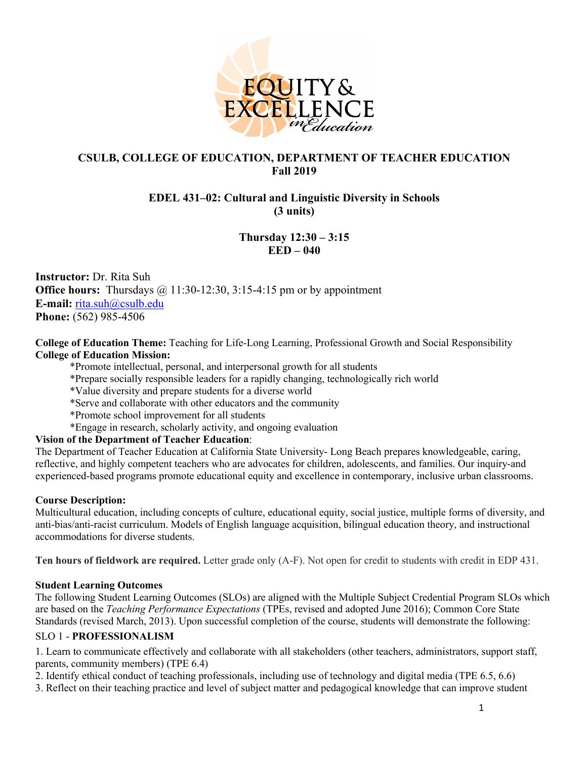

#### **CSULB, COLLEGE OF EDUCATION, DEPARTMENT OF TEACHER EDUCATION Fall 2019**

### **EDEL 431–02: Cultural and Linguistic Diversity in Schools (3 units)**

# **Thursday 12:30 – 3:15 EED – 040**

**Instructor:** Dr. Rita Suh **Office hours:** Thursdays @ 11:30-12:30, 3:15-4:15 pm or by appointment **E-mail:** rita.suh@csulb.edu **Phone:** (562) 985-4506

**College of Education Theme:** Teaching for Life-Long Learning, Professional Growth and Social Responsibility **College of Education Mission:**

\*Promote intellectual, personal, and interpersonal growth for all students

\*Prepare socially responsible leaders for a rapidly changing, technologically rich world

\*Value diversity and prepare students for a diverse world

\*Serve and collaborate with other educators and the community

\*Promote school improvement for all students

\*Engage in research, scholarly activity, and ongoing evaluation

#### **Vision of the Department of Teacher Education**:

The Department of Teacher Education at California State University- Long Beach prepares knowledgeable, caring, reflective, and highly competent teachers who are advocates for children, adolescents, and families. Our inquiry-and experienced-based programs promote educational equity and excellence in contemporary, inclusive urban classrooms.

#### **Course Description:**

Multicultural education, including concepts of culture, educational equity, social justice, multiple forms of diversity, and anti-bias/anti-racist curriculum. Models of English language acquisition, bilingual education theory, and instructional accommodations for diverse students.

**Ten hours of fieldwork are required.** Letter grade only (A-F). Not open for credit to students with credit in EDP 431.

#### **Student Learning Outcomes**

The following Student Learning Outcomes (SLOs) are aligned with the Multiple Subject Credential Program SLOs which are based on the *Teaching Performance Expectations* (TPEs, revised and adopted June 2016); Common Core State Standards (revised March, 2013). Upon successful completion of the course, students will demonstrate the following:

#### SLO 1 - **PROFESSIONALISM**

1. Learn to communicate effectively and collaborate with all stakeholders (other teachers, administrators, support staff, parents, community members) (TPE 6.4)

2. Identify ethical conduct of teaching professionals, including use of technology and digital media (TPE 6.5, 6.6)

3. Reflect on their teaching practice and level of subject matter and pedagogical knowledge that can improve student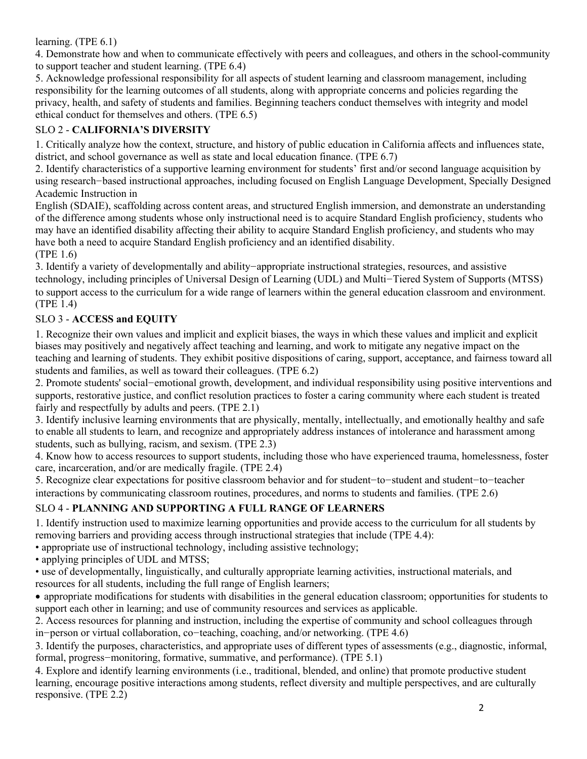#### learning. (TPE 6.1)

4. Demonstrate how and when to communicate effectively with peers and colleagues, and others in the school-community to support teacher and student learning. (TPE 6.4)

5. Acknowledge professional responsibility for all aspects of student learning and classroom management, including responsibility for the learning outcomes of all students, along with appropriate concerns and policies regarding the privacy, health, and safety of students and families. Beginning teachers conduct themselves with integrity and model ethical conduct for themselves and others. (TPE 6.5)

### SLO 2 - **CALIFORNIA'S DIVERSITY**

1. Critically analyze how the context, structure, and history of public education in California affects and influences state, district, and school governance as well as state and local education finance. (TPE 6.7)

2. Identify characteristics of a supportive learning environment for students' first and/or second language acquisition by using research-based instructional approaches, including focused on English Language Development, Specially Designed Academic Instruction in

English (SDAIE), scaffolding across content areas, and structured English immersion, and demonstrate an understanding of the difference among students whose only instructional need is to acquire Standard English proficiency, students who may have an identified disability affecting their ability to acquire Standard English proficiency, and students who may have both a need to acquire Standard English proficiency and an identified disability.

(TPE 1.6)

3. Identify a variety of developmentally and ability-appropriate instructional strategies, resources, and assistive technology, including principles of Universal Design of Learning (UDL) and Multi-Tiered System of Supports (MTSS) to support access to the curriculum for a wide range of learners within the general education classroom and environment. (TPE 1.4)

### SLO 3 - **ACCESS and EQUITY**

1. Recognize their own values and implicit and explicit biases, the ways in which these values and implicit and explicit biases may positively and negatively affect teaching and learning, and work to mitigate any negative impact on the teaching and learning of students. They exhibit positive dispositions of caring, support, acceptance, and fairness toward all students and families, as well as toward their colleagues. (TPE 6.2)

2. Promote students' social-emotional growth, development, and individual responsibility using positive interventions and supports, restorative justice, and conflict resolution practices to foster a caring community where each student is treated fairly and respectfully by adults and peers. (TPE 2.1)

3. Identify inclusive learning environments that are physically, mentally, intellectually, and emotionally healthy and safe to enable all students to learn, and recognize and appropriately address instances of intolerance and harassment among students, such as bullying, racism, and sexism. (TPE 2.3)

4. Know how to access resources to support students, including those who have experienced trauma, homelessness, foster care, incarceration, and/or are medically fragile. (TPE 2.4)

5. Recognize clear expectations for positive classroom behavior and for student-to-student and student-to-teacher interactions by communicating classroom routines, procedures, and norms to students and families. (TPE 2.6)

# SLO 4 - **PLANNING AND SUPPORTING A FULL RANGE OF LEARNERS**

1. Identify instruction used to maximize learning opportunities and provide access to the curriculum for all students by removing barriers and providing access through instructional strategies that include (TPE 4.4):

• appropriate use of instructional technology, including assistive technology;

• applying principles of UDL and MTSS;

• use of developmentally, linguistically, and culturally appropriate learning activities, instructional materials, and resources for all students, including the full range of English learners;

• appropriate modifications for students with disabilities in the general education classroom; opportunities for students to support each other in learning; and use of community resources and services as applicable.

2. Access resources for planning and instruction, including the expertise of community and school colleagues through in-person or virtual collaboration, co-teaching, coaching, and/or networking. (TPE 4.6)

3. Identify the purposes, characteristics, and appropriate uses of different types of assessments (e.g., diagnostic, informal, formal, progress-monitoring, formative, summative, and performance). (TPE 5.1)

4. Explore and identify learning environments (i.e., traditional, blended, and online) that promote productive student learning, encourage positive interactions among students, reflect diversity and multiple perspectives, and are culturally responsive. (TPE 2.2)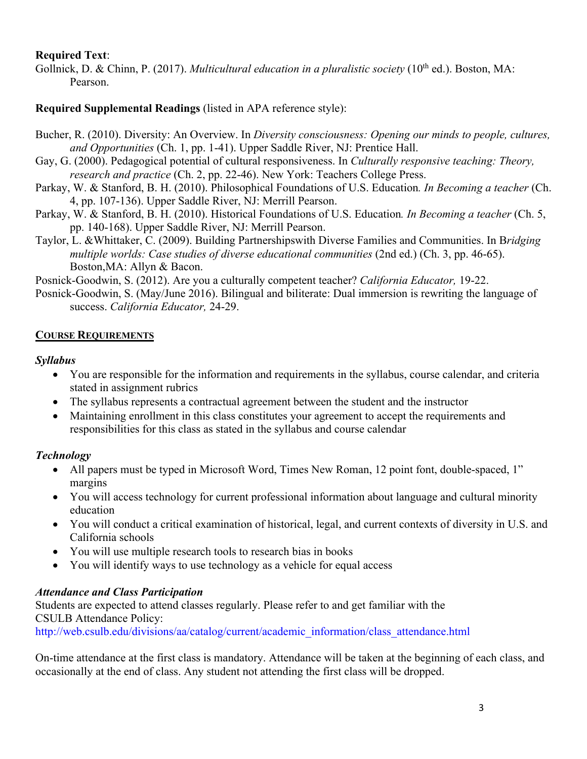### **Required Text**:

Gollnick, D. & Chinn, P. (2017). *Multicultural education in a pluralistic society* (10<sup>th</sup> ed.). Boston, MA: Pearson.

### **Required Supplemental Readings** (listed in APA reference style):

- Bucher, R. (2010). Diversity: An Overview. In *Diversity consciousness: Opening our minds to people, cultures, and Opportunities* (Ch. 1, pp. 1-41). Upper Saddle River, NJ: Prentice Hall.
- Gay, G. (2000). Pedagogical potential of cultural responsiveness. In *Culturally responsive teaching: Theory, research and practice* (Ch. 2, pp. 22-46). New York: Teachers College Press.
- Parkay, W. & Stanford, B. H. (2010). Philosophical Foundations of U.S. Education*. In Becoming a teacher* (Ch. 4, pp. 107-136). Upper Saddle River, NJ: Merrill Pearson.
- Parkay, W. & Stanford, B. H. (2010). Historical Foundations of U.S. Education*. In Becoming a teacher* (Ch. 5, pp. 140-168). Upper Saddle River, NJ: Merrill Pearson.
- Taylor, L. &Whittaker, C. (2009). Building Partnershipswith Diverse Families and Communities. In B*ridging multiple worlds: Case studies of diverse educational communities* (2nd ed.) (Ch. 3, pp. 46-65). Boston,MA: Allyn & Bacon.

Posnick-Goodwin, S. (2012). Are you a culturally competent teacher? *California Educator,* 19-22.

Posnick-Goodwin, S. (May/June 2016). Bilingual and biliterate: Dual immersion is rewriting the language of success. *California Educator,* 24-29.

### **COURSE REQUIREMENTS**

### *Syllabus*

- You are responsible for the information and requirements in the syllabus, course calendar, and criteria stated in assignment rubrics
- The syllabus represents a contractual agreement between the student and the instructor
- Maintaining enrollment in this class constitutes your agreement to accept the requirements and responsibilities for this class as stated in the syllabus and course calendar

# *Technology*

- All papers must be typed in Microsoft Word, Times New Roman, 12 point font, double-spaced, 1" margins
- You will access technology for current professional information about language and cultural minority education
- You will conduct a critical examination of historical, legal, and current contexts of diversity in U.S. and California schools
- You will use multiple research tools to research bias in books
- You will identify ways to use technology as a vehicle for equal access

### *Attendance and Class Participation*

Students are expected to attend classes regularly. Please refer to and get familiar with the CSULB Attendance Policy:

http://web.csulb.edu/divisions/aa/catalog/current/academic\_information/class\_attendance.html

On-time attendance at the first class is mandatory. Attendance will be taken at the beginning of each class, and occasionally at the end of class. Any student not attending the first class will be dropped.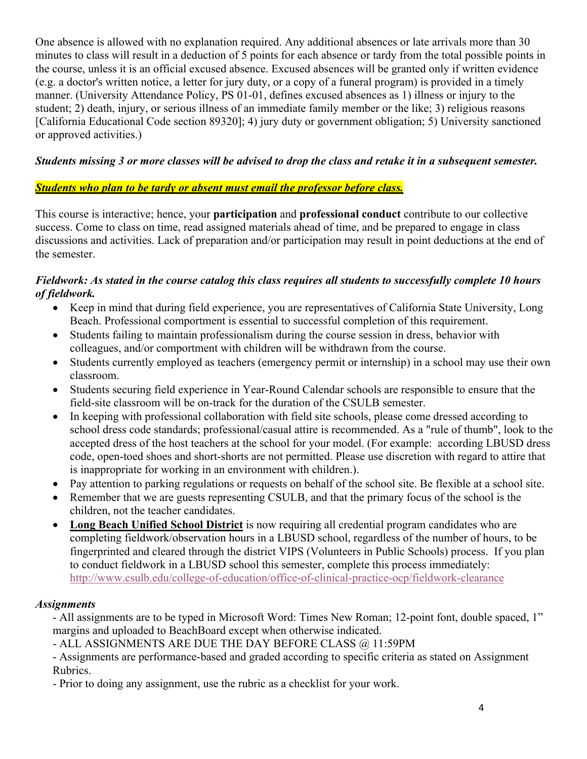One absence is allowed with no explanation required. Any additional absences or late arrivals more than 30 minutes to class will result in a deduction of 5 points for each absence or tardy from the total possible points in the course, unless it is an official excused absence. Excused absences will be granted only if written evidence (e.g. a doctor's written notice, a letter for jury duty, or a copy of a funeral program) is provided in a timely manner. (University Attendance Policy, PS 01-01, defines excused absences as 1) illness or injury to the student; 2) death, injury, or serious illness of an immediate family member or the like; 3) religious reasons [California Educational Code section 89320]; 4) jury duty or government obligation; 5) University sanctioned or approved activities.)

### *Students missing 3 or more classes will be advised to drop the class and retake it in a subsequent semester.*

### *Students who plan to be tardy or absent must email the professor before class.*

This course is interactive; hence, your **participation** and **professional conduct** contribute to our collective success. Come to class on time, read assigned materials ahead of time, and be prepared to engage in class discussions and activities. Lack of preparation and/or participation may result in point deductions at the end of the semester.

### *Fieldwork: As stated in the course catalog this class requires all students to successfully complete 10 hours of fieldwork.*

- Keep in mind that during field experience, you are representatives of California State University, Long Beach. Professional comportment is essential to successful completion of this requirement.
- Students failing to maintain professionalism during the course session in dress, behavior with colleagues, and/or comportment with children will be withdrawn from the course.
- Students currently employed as teachers (emergency permit or internship) in a school may use their own classroom.
- Students securing field experience in Year-Round Calendar schools are responsible to ensure that the field-site classroom will be on-track for the duration of the CSULB semester.
- In keeping with professional collaboration with field site schools, please come dressed according to school dress code standards; professional/casual attire is recommended. As a "rule of thumb", look to the accepted dress of the host teachers at the school for your model. (For example: according LBUSD dress code, open-toed shoes and short-shorts are not permitted. Please use discretion with regard to attire that is inappropriate for working in an environment with children.).
- Pay attention to parking regulations or requests on behalf of the school site. Be flexible at a school site.
- Remember that we are guests representing CSULB, and that the primary focus of the school is the children, not the teacher candidates.
- **Long Beach Unified School District** is now requiring all credential program candidates who are completing fieldwork/observation hours in a LBUSD school, regardless of the number of hours, to be fingerprinted and cleared through the district VIPS (Volunteers in Public Schools) process. If you plan to conduct fieldwork in a LBUSD school this semester, complete this process immediately: http://www.csulb.edu/college-of-education/office-of-clinical-practice-ocp/fieldwork-clearance

### *Assignments*

- All assignments are to be typed in Microsoft Word: Times New Roman; 12-point font, double spaced, 1" margins and uploaded to BeachBoard except when otherwise indicated.

- ALL ASSIGNMENTS ARE DUE THE DAY BEFORE CLASS @ 11:59PM

- Assignments are performance-based and graded according to specific criteria as stated on Assignment Rubrics.

- Prior to doing any assignment, use the rubric as a checklist for your work.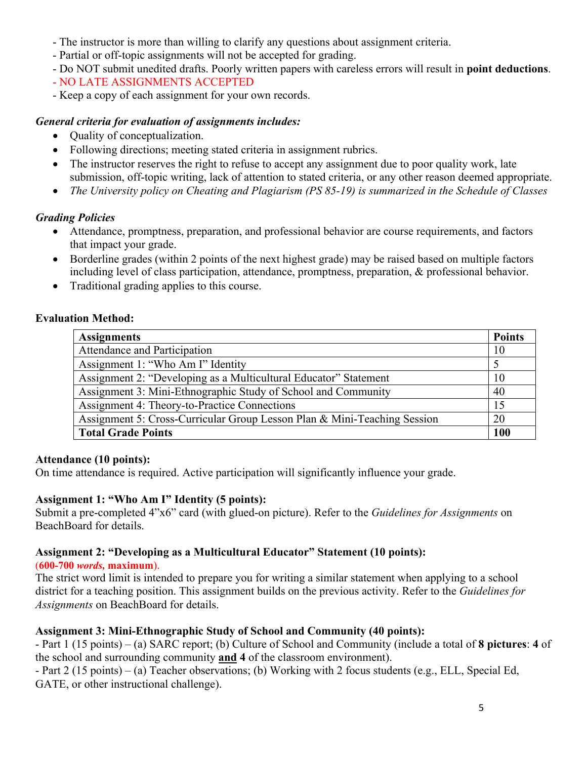- The instructor is more than willing to clarify any questions about assignment criteria.
- Partial or off-topic assignments will not be accepted for grading.
- Do NOT submit unedited drafts. Poorly written papers with careless errors will result in **point deductions**.
- NO LATE ASSIGNMENTS ACCEPTED
- Keep a copy of each assignment for your own records.

### *General criteria for evaluation of assignments includes:*

- Quality of conceptualization.
- Following directions; meeting stated criteria in assignment rubrics.
- The instructor reserves the right to refuse to accept any assignment due to poor quality work, late submission, off-topic writing, lack of attention to stated criteria, or any other reason deemed appropriate.
- *The University policy on Cheating and Plagiarism (PS 85-19) is summarized in the Schedule of Classes*

# *Grading Policies*

- Attendance, promptness, preparation, and professional behavior are course requirements, and factors that impact your grade.
- Borderline grades (within 2 points of the next highest grade) may be raised based on multiple factors including level of class participation, attendance, promptness, preparation, & professional behavior.
- Traditional grading applies to this course.

# **Evaluation Method:**

| <b>Assignments</b>                                                       | <b>Points</b> |
|--------------------------------------------------------------------------|---------------|
| Attendance and Participation                                             | 10            |
| Assignment 1: "Who Am I" Identity                                        |               |
| Assignment 2: "Developing as a Multicultural Educator" Statement         | 10            |
| Assignment 3: Mini-Ethnographic Study of School and Community            | 40            |
| Assignment 4: Theory-to-Practice Connections                             | 15            |
| Assignment 5: Cross-Curricular Group Lesson Plan & Mini-Teaching Session | 20            |
| <b>Total Grade Points</b>                                                | <b>100</b>    |

### **Attendance (10 points):**

On time attendance is required. Active participation will significantly influence your grade.

# **Assignment 1: "Who Am I" Identity (5 points):**

Submit a pre-completed 4"x6" card (with glued-on picture). Refer to the *Guidelines for Assignments* on BeachBoard for details.

# **Assignment 2: "Developing as a Multicultural Educator" Statement (10 points):**

### (**600-700** *words,* **maximum**).

The strict word limit is intended to prepare you for writing a similar statement when applying to a school district for a teaching position. This assignment builds on the previous activity. Refer to the *Guidelines for Assignments* on BeachBoard for details.

# **Assignment 3: Mini-Ethnographic Study of School and Community (40 points):**

- Part 1 (15 points) – (a) SARC report; (b) Culture of School and Community (include a total of **8 pictures**: **4** of the school and surrounding community **and 4** of the classroom environment).

- Part 2 (15 points) – (a) Teacher observations; (b) Working with 2 focus students (e.g., ELL, Special Ed, GATE, or other instructional challenge).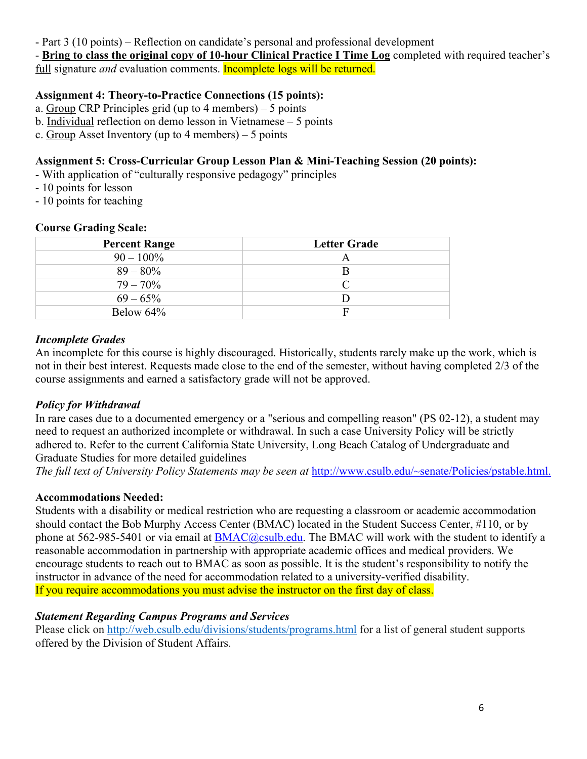- Part 3 (10 points) – Reflection on candidate's personal and professional development

- **Bring to class the original copy of 10-hour Clinical Practice I Time Log** completed with required teacher's full signature *and* evaluation comments. Incomplete logs will be returned.

# **Assignment 4: Theory-to-Practice Connections (15 points):**

- a. Group CRP Principles grid (up to 4 members) 5 points
- b. Individual reflection on demo lesson in Vietnamese 5 points
- c. Group Asset Inventory (up to 4 members) 5 points

# **Assignment 5: Cross-Curricular Group Lesson Plan & Mini-Teaching Session (20 points):**

- With application of "culturally responsive pedagogy" principles
- 10 points for lesson
- 10 points for teaching

### **Course Grading Scale:**

| <b>Percent Range</b> | <b>Letter Grade</b> |
|----------------------|---------------------|
| $90 - 100\%$         | A                   |
| $89 - 80\%$          | B                   |
| $79 - 70\%$          | $\subset$           |
| $69 - 65\%$          |                     |
| Below 64%            | F                   |

### *Incomplete Grades*

An incomplete for this course is highly discouraged. Historically, students rarely make up the work, which is not in their best interest. Requests made close to the end of the semester, without having completed 2/3 of the course assignments and earned a satisfactory grade will not be approved.

# *Policy for Withdrawal*

In rare cases due to a documented emergency or a "serious and compelling reason" (PS 02-12), a student may need to request an authorized incomplete or withdrawal. In such a case University Policy will be strictly adhered to. Refer to the current California State University, Long Beach Catalog of Undergraduate and Graduate Studies for more detailed guidelines

*The full text of University Policy Statements may be seen at http://www.csulb.edu/~senate/Policies/pstable.html.* 

# **Accommodations Needed:**

Students with a disability or medical restriction who are requesting a classroom or academic accommodation should contact the Bob Murphy Access Center (BMAC) located in the Student Success Center, #110, or by phone at 562-985-5401 or via email at **BMAC@csulb.edu**. The BMAC will work with the student to identify a reasonable accommodation in partnership with appropriate academic offices and medical providers. We encourage students to reach out to BMAC as soon as possible. It is the student's responsibility to notify the instructor in advance of the need for accommodation related to a university-verified disability. If you require accommodations you must advise the instructor on the first day of class.

# *Statement Regarding Campus Programs and Services*

Please click on http://web.csulb.edu/divisions/students/programs.html for a list of general student supports offered by the Division of Student Affairs.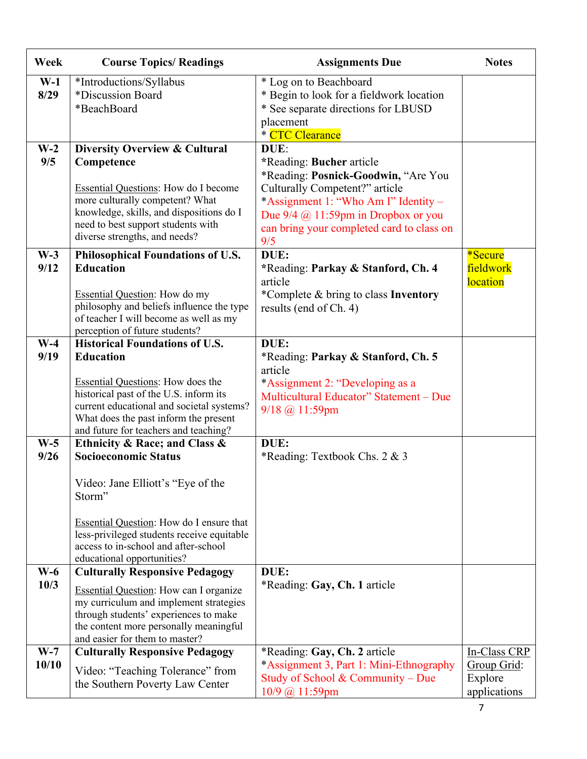| Week                  | <b>Course Topics/ Readings</b>                                                                                                                                                                                                                                                                   | <b>Assignments Due</b>                                                                                                                                                                                                                                                   | <b>Notes</b>                                           |
|-----------------------|--------------------------------------------------------------------------------------------------------------------------------------------------------------------------------------------------------------------------------------------------------------------------------------------------|--------------------------------------------------------------------------------------------------------------------------------------------------------------------------------------------------------------------------------------------------------------------------|--------------------------------------------------------|
| $W-1$<br>8/29         | *Introductions/Syllabus<br>*Discussion Board<br>*BeachBoard                                                                                                                                                                                                                                      | * Log on to Beachboard<br>* Begin to look for a fieldwork location<br>* See separate directions for LBUSD<br>placement<br>* CTC Clearance                                                                                                                                |                                                        |
| $W-2$<br>9/5<br>$W-3$ | <b>Diversity Overview &amp; Cultural</b><br>Competence<br>Essential Questions: How do I become<br>more culturally competent? What<br>knowledge, skills, and dispositions do I<br>need to best support students with<br>diverse strengths, and needs?<br><b>Philosophical Foundations of U.S.</b> | DUE:<br>*Reading: Bucher article<br>*Reading: Posnick-Goodwin, "Are You<br>Culturally Competent?" article<br>*Assignment 1: "Who Am I" Identity –<br>Due $9/4$ ( $\ddot{\omega}$ , 11:59pm in Dropbox or you<br>can bring your completed card to class on<br>9/5<br>DUE: | *Secure                                                |
| 9/12                  | <b>Education</b><br><b>Essential Question:</b> How do my<br>philosophy and beliefs influence the type<br>of teacher I will become as well as my<br>perception of future students?                                                                                                                | *Reading: Parkay & Stanford, Ch. 4<br>article<br>*Complete & bring to class Inventory<br>results (end of Ch. 4)                                                                                                                                                          | fieldwork<br><b>location</b>                           |
| $W-4$<br>9/19         | <b>Historical Foundations of U.S.</b><br><b>Education</b><br><b>Essential Questions:</b> How does the<br>historical past of the U.S. inform its<br>current educational and societal systems?<br>What does the past inform the present<br>and future for teachers and teaching?                   | DUE:<br>*Reading: Parkay & Stanford, Ch. 5<br>article<br>*Assignment 2: "Developing as a<br>Multicultural Educator" Statement - Due<br>$9/18$ @ 11:59pm                                                                                                                  |                                                        |
| $W-5$<br>9/26         | Ethnicity & Race; and Class &<br><b>Socioeconomic Status</b><br>Video: Jane Elliott's "Eye of the<br>Storm"<br><b>Essential Question:</b> How do I ensure that<br>less-privileged students receive equitable<br>access to in-school and after-school<br>educational opportunities?               | DUE:<br>*Reading: Textbook Chs. 2 & 3                                                                                                                                                                                                                                    |                                                        |
| $W-6$<br>10/3         | <b>Culturally Responsive Pedagogy</b><br><b>Essential Question:</b> How can I organize<br>my curriculum and implement strategies<br>through students' experiences to make<br>the content more personally meaningful<br>and easier for them to master?                                            | DUE:<br>*Reading: Gay, Ch. 1 article                                                                                                                                                                                                                                     |                                                        |
| $W-7$<br>10/10        | <b>Culturally Responsive Pedagogy</b><br>Video: "Teaching Tolerance" from<br>the Southern Poverty Law Center                                                                                                                                                                                     | *Reading: Gay, Ch. 2 article<br>*Assignment 3, Part 1: Mini-Ethnography<br>Study of School & Community – Due<br>10/9 @ 11:59pm                                                                                                                                           | In-Class CRP<br>Group Grid:<br>Explore<br>applications |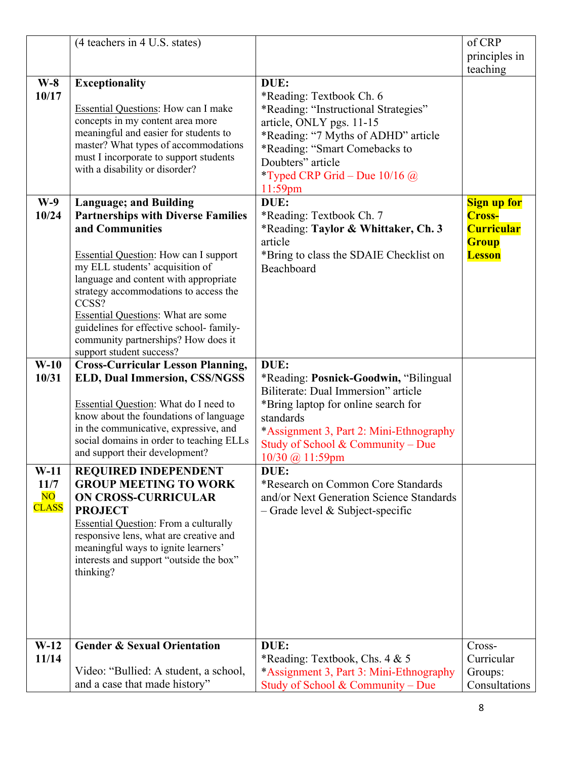|                                                          | (4 teachers in 4 U.S. states)                                                                                                                                                                                                                                                                                                                                                                                                          |                                                                                                                                                                                                                                                    | of CRP<br>principles in<br>teaching                                                       |
|----------------------------------------------------------|----------------------------------------------------------------------------------------------------------------------------------------------------------------------------------------------------------------------------------------------------------------------------------------------------------------------------------------------------------------------------------------------------------------------------------------|----------------------------------------------------------------------------------------------------------------------------------------------------------------------------------------------------------------------------------------------------|-------------------------------------------------------------------------------------------|
| $W-8$<br>10/17                                           | <b>Exceptionality</b><br><b>Essential Questions:</b> How can I make<br>concepts in my content area more<br>meaningful and easier for students to<br>master? What types of accommodations<br>must I incorporate to support students<br>with a disability or disorder?                                                                                                                                                                   | DUE:<br>*Reading: Textbook Ch. 6<br>*Reading: "Instructional Strategies"<br>article, ONLY pgs. 11-15<br>*Reading: "7 Myths of ADHD" article<br>*Reading: "Smart Comebacks to<br>Doubters" article<br>*Typed CRP Grid – Due $10/16$ @<br>$11:59$ pm |                                                                                           |
| $W-9$<br>10/24                                           | <b>Language; and Building</b><br><b>Partnerships with Diverse Families</b><br>and Communities<br><b>Essential Question:</b> How can I support<br>my ELL students' acquisition of<br>language and content with appropriate<br>strategy accommodations to access the<br>CCSS?<br><b>Essential Questions: What are some</b><br>guidelines for effective school-family-<br>community partnerships? How does it<br>support student success? | DUE:<br>*Reading: Textbook Ch. 7<br>*Reading: Taylor & Whittaker, Ch. 3<br>article<br>*Bring to class the SDAIE Checklist on<br>Beachboard                                                                                                         | <b>Sign up for</b><br><b>Cross-</b><br><b>Curricular</b><br><b>Group</b><br><b>Lesson</b> |
| $W-10$<br>10/31                                          | <b>Cross-Curricular Lesson Planning,</b><br><b>ELD, Dual Immersion, CSS/NGSS</b><br><b>Essential Question:</b> What do I need to<br>know about the foundations of language<br>in the communicative, expressive, and<br>social domains in order to teaching ELLs<br>and support their development?                                                                                                                                      | DUE:<br>*Reading: Posnick-Goodwin, "Bilingual"<br>Biliterate: Dual Immersion" article<br>*Bring laptop for online search for<br>standards<br>*Assignment 3, Part 2: Mini-Ethnography<br>Study of School & Community – Due<br>10/30 @ 11:59pm       |                                                                                           |
| $W-11$<br>11/7<br>$\overline{\text{NO}}$<br><b>CLASS</b> | <b>REQUIRED INDEPENDENT</b><br><b>GROUP MEETING TO WORK</b><br><b>ON CROSS-CURRICULAR</b><br><b>PROJECT</b><br><b>Essential Question:</b> From a culturally<br>responsive lens, what are creative and<br>meaningful ways to ignite learners'<br>interests and support "outside the box"<br>thinking?                                                                                                                                   | DUE:<br>*Research on Common Core Standards<br>and/or Next Generation Science Standards<br>$-$ Grade level & Subject-specific                                                                                                                       |                                                                                           |
| $W-12$<br>11/14                                          | <b>Gender &amp; Sexual Orientation</b><br>Video: "Bullied: A student, a school,<br>and a case that made history"                                                                                                                                                                                                                                                                                                                       | DUE:<br>*Reading: Textbook, Chs. 4 & 5<br>*Assignment 3, Part 3: Mini-Ethnography<br>Study of School & Community - Due                                                                                                                             | Cross-<br>Curricular<br>Groups:<br>Consultations                                          |